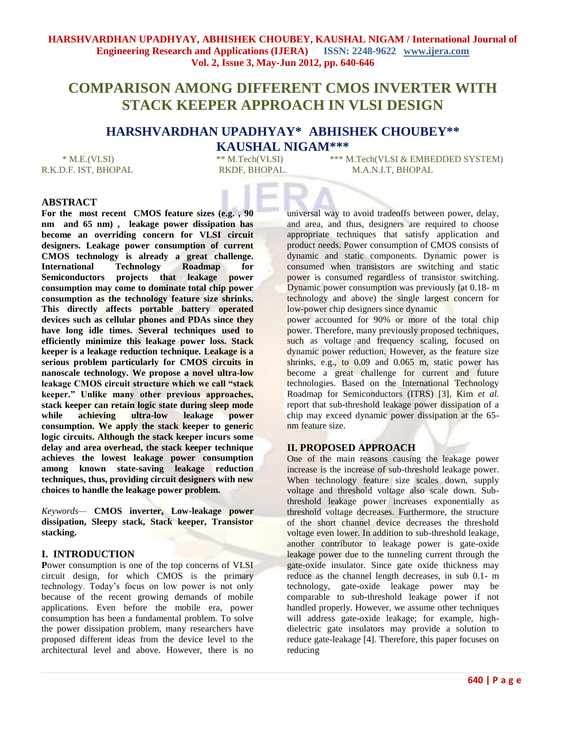# **COMPARISON AMONG DIFFERENT CMOS INVERTER WITH STACK KEEPER APPROACH IN VLSI DESIGN**

## **HARSHVARDHAN UPADHYAY\* ABHISHEK CHOUBEY\*\* KAUSHAL NIGAM\*\*\***

\* M.E.(VLSI) \*\* M.Tech(VLSI) \*\*\* M.Tech(VLSI & EMBEDDED SYSTEM) R.K.D.F. IST, BHOPAL RKDF, BHOPAL RKDF, BHOPAL M.A.N.I.T. BHOPAL

## **ABSTRACT**

**For the most recent CMOS feature sizes (e.g. , 90 nm and 65 nm) , leakage power dissipation has become an overriding concern for VLSI circuit designers. Leakage power consumption of current CMOS technology is already a great challenge. International Technology Roadmap for Semiconductors projects that leakage power consumption may come to dominate total chip power consumption as the technology feature size shrinks. This directly affects portable battery operated devices such as cellular phones and PDAs since they have long idle times. Several techniques used to efficiently minimize this leakage power loss. Stack keeper is a leakage reduction technique. Leakage is a serious problem particularly for CMOS circuits in nanoscale technology. We propose a novel ultra-low leakage CMOS circuit structure which we call "stack keeper." Unlike many other previous approaches, stack keeper can retain logic state during sleep mode while achieving ultra-low leakage power consumption. We apply the stack keeper to generic logic circuits. Although the stack keeper incurs some delay and area overhead, the stack keeper technique achieves the lowest leakage power consumption among known state-saving leakage reduction techniques, thus, providing circuit designers with new choices to handle the leakage power problem.** 

*Keywords—* **CMOS inverter, Low-leakage power dissipation, Sleepy stack, Stack keeper, Transistor stacking.**

## **I. INTRODUCTION**

Power consumption is one of the top concerns of VLSI circuit design, for which CMOS is the primary technology. Today's focus on low power is not only because of the recent growing demands of mobile applications. Even before the mobile era, power consumption has been a fundamental problem. To solve the power dissipation problem, many researchers have proposed different ideas from the device level to the architectural level and above. However, there is no

universal way to avoid tradeoffs between power, delay, and area, and thus, designers are required to choose appropriate techniques that satisfy application and product needs. Power consumption of CMOS consists of dynamic and static components. Dynamic power is consumed when transistors are switching and static power is consumed regardless of transistor switching. Dynamic power consumption was previously (at 0.18- m technology and above) the single largest concern for low-power chip designers since dynamic

power accounted for 90% or more of the total chip power. Therefore, many previously proposed techniques, such as voltage and frequency scaling, focused on dynamic power reduction. However, as the feature size shrinks, e.g., to 0.09 and 0.065 m, static power has become a great challenge for current and future technologies. Based on the International Technology Roadmap for Semiconductors (ITRS) [3], Kim *et al.*  report that sub-threshold leakage power dissipation of a chip may exceed dynamic power dissipation at the 65 nm feature size.

## **II. PROPOSED APPROACH**

One of the main reasons causing the leakage power increase is the increase of sub-threshold leakage power. When technology feature size scales down, supply voltage and threshold voltage also scale down. Subthreshold leakage power increases exponentially as threshold voltage decreases. Furthermore, the structure of the short channel device decreases the threshold voltage even lower. In addition to sub-threshold leakage, another contributor to leakage power is gate-oxide leakage power due to the tunneling current through the gate-oxide insulator. Since gate oxide thickness may reduce as the channel length decreases, in sub 0.1- m technology, gate-oxide leakage power may be comparable to sub-threshold leakage power if not handled properly. However, we assume other techniques will address gate-oxide leakage; for example, highdielectric gate insulators may provide a solution to reduce gate-leakage [4]. Therefore, this paper focuses on reducing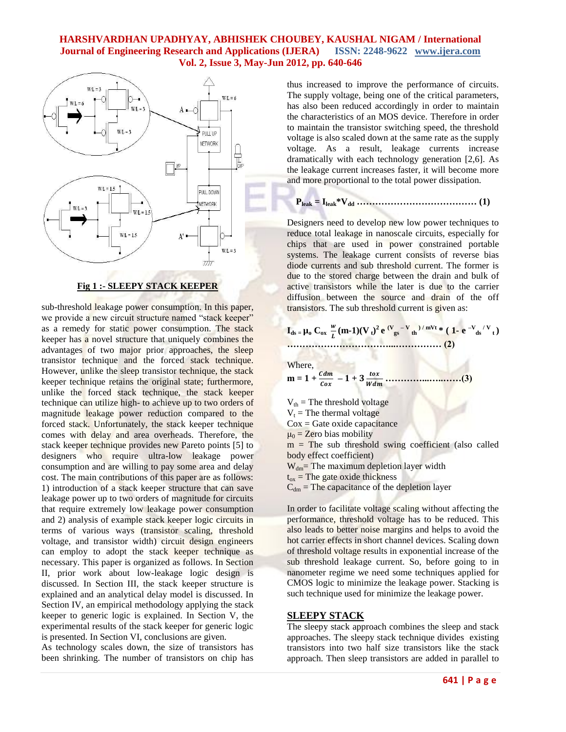

#### **Fig 1 :- SLEEPY STACK KEEPER**

sub-threshold leakage power consumption. In this paper, we provide a new circuit structure named "stack keeper" as a remedy for static power consumption. The stack keeper has a novel structure that uniquely combines the advantages of two major prior approaches, the sleep transistor technique and the forced stack technique. However, unlike the sleep transistor technique, the stack keeper technique retains the original state; furthermore, unlike the forced stack technique, the stack keeper technique can utilize high- to achieve up to two orders of magnitude leakage power reduction compared to the forced stack. Unfortunately, the stack keeper technique comes with delay and area overheads. Therefore, the stack keeper technique provides new Pareto points [5] to designers who require ultra-low leakage power consumption and are willing to pay some area and delay cost. The main contributions of this paper are as follows: 1) introduction of a stack keeper structure that can save leakage power up to two orders of magnitude for circuits that require extremely low leakage power consumption and 2) analysis of example stack keeper logic circuits in terms of various ways (transistor scaling, threshold voltage, and transistor width) circuit design engineers can employ to adopt the stack keeper technique as necessary. This paper is organized as follows. In Section II, prior work about low-leakage logic design is discussed. In Section III, the stack keeper structure is explained and an analytical delay model is discussed. In Section IV, an empirical methodology applying the stack keeper to generic logic is explained. In Section V, the experimental results of the stack keeper for generic logic is presented. In Section VI, conclusions are given.

As technology scales down, the size of transistors has been shrinking. The number of transistors on chip has thus increased to improve the performance of circuits. The supply voltage, being one of the critical parameters, has also been reduced accordingly in order to maintain the characteristics of an MOS device. Therefore in order to maintain the transistor switching speed, the threshold voltage is also scaled down at the same rate as the supply voltage. As a result, leakage currents increase dramatically with each technology generation [2,6]. As the leakage current increases faster, it will become more and more proportional to the total power dissipation.

**Pleak = Ileak\*Vdd ………………………………… (1)**

Designers need to develop new low power techniques to reduce total leakage in nanoscale circuits, especially for chips that are used in power constrained portable systems. The leakage current consists of reverse bias diode currents and sub threshold current. The former is due to the stored charge between the drain and bulk of active transistors while the later is due to the carrier diffusion between the source and drain of the off transistors. The sub threshold current is given as:

$$
I_{ds} = \mu_0 C_{ox} \frac{w}{L} (m-1) (V_t)^2 e^{ (V_{gs} - V_{th}) / mVt} * (1 - e^{-V_{ds}/V_t})
$$

Where,

л

**m = 1 + – 1 + …………...…..……(3)**

 $V_{th}$  = The threshold voltage  $V_t$  = The thermal voltage  $\cos$  = Gate oxide capacitance  $\mu_0$  = Zero bias mobility  $m =$ The sub threshold swing coefficient (also called body effect coefficient)  $W_{dm}$ = The maximum depletion layer width  $t_{ox}$  = The gate oxide thickness  $C<sub>dm</sub>$  = The capacitance of the depletion layer

In order to facilitate voltage scaling without affecting the performance, threshold voltage has to be reduced. This also leads to better noise margins and helps to avoid the hot carrier effects in short channel devices. Scaling down of threshold voltage results in exponential increase of the sub threshold leakage current. So, before going to in nanometer regime we need some techniques applied for CMOS logic to minimize the leakage power. Stacking is such technique used for minimize the leakage power.

#### **SLEEPY STACK**

The sleepy stack approach combines the sleep and stack approaches. The sleepy stack technique divides existing transistors into two half size transistors like the stack approach. Then sleep transistors are added in parallel to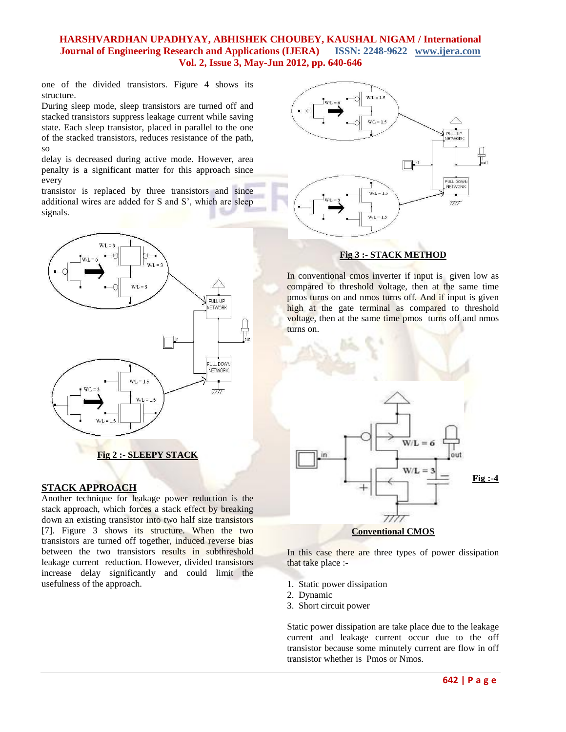one of the divided transistors. Figure 4 shows its structure.

During sleep mode, sleep transistors are turned off and stacked transistors suppress leakage current while saving state. Each sleep transistor, placed in parallel to the one of the stacked transistors, reduces resistance of the path, so

delay is decreased during active mode. However, area penalty is a significant matter for this approach since every

transistor is replaced by three transistors and since additional wires are added for S and S', which are sleep signals.



#### **STACK APPROACH**

Another technique for leakage power reduction is the stack approach, which forces a stack effect by breaking down an existing transistor into two half size transistors [7]. Figure 3 shows its structure. When the two transistors are turned off together, induced reverse bias between the two transistors results in subthreshold leakage current reduction. However, divided transistors increase delay significantly and could limit the usefulness of the approach.



## **Fig 3 :- STACK METHOD**

In conventional cmos inverter if input is given low as compared to threshold voltage, then at the same time pmos turns on and nmos turns off. And if input is given high at the gate terminal as compared to threshold voltage, then at the same time pmos turns off and nmos turns on.



In this case there are three types of power dissipation that take place :-

- 1. Static power dissipation
- 2. Dynamic
- 3. Short circuit power

Static power dissipation are take place due to the leakage current and leakage current occur due to the off transistor because some minutely current are flow in off transistor whether is Pmos or Nmos.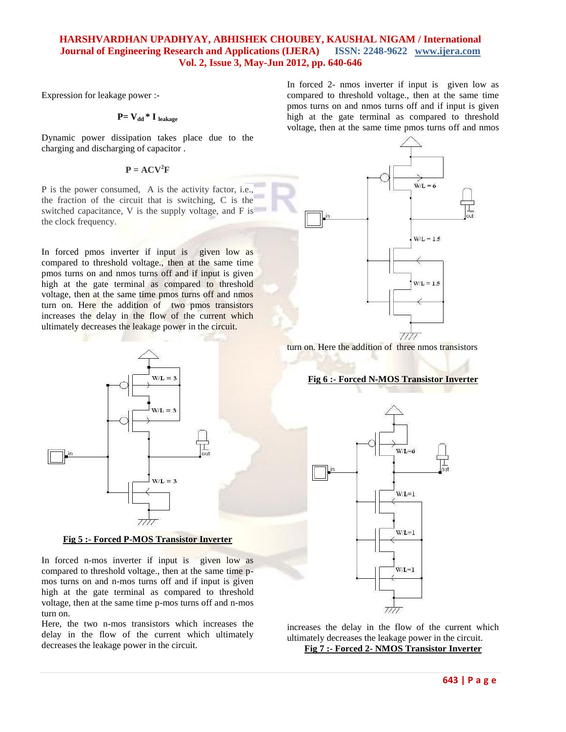Expression for leakage power :-

## **P= Vdd \* I leakage**

Dynamic power dissipation takes place due to the charging and discharging of capacitor .

## $P = ACV^2F$

P is the power consumed, A is the activity factor, i.e., the fraction of the circuit that is switching, C is the switched capacitance, V is the supply voltage, and F is the clock frequency.

In forced pmos inverter if input is given low as compared to threshold voltage., then at the same time pmos turns on and nmos turns off and if input is given high at the gate terminal as compared to threshold voltage, then at the same time pmos turns off and nmos turn on. Here the addition of two pmos transistors increases the delay in the flow of the current which ultimately decreases the leakage power in the circuit.



#### **Fig 5 :- Forced P-MOS Transistor Inverter**

In forced n-mos inverter if input is given low as compared to threshold voltage., then at the same time pmos turns on and n-mos turns off and if input is given high at the gate terminal as compared to threshold voltage, then at the same time p-mos turns off and n-mos turn on.

Here, the two n-mos transistors which increases the delay in the flow of the current which ultimately decreases the leakage power in the circuit.

In forced 2- nmos inverter if input is given low as compared to threshold voltage., then at the same time pmos turns on and nmos turns off and if input is given high at the gate terminal as compared to threshold voltage, then at the same time pmos turns off and nmos



turn on. Here the addition of three nmos transistors

#### **Fig 6 :- Forced N-MOS Transistor Inverter**



increases the delay in the flow of the current which ultimately decreases the leakage power in the circuit. **Fig 7 :- Forced 2- NMOS Transistor Inverter**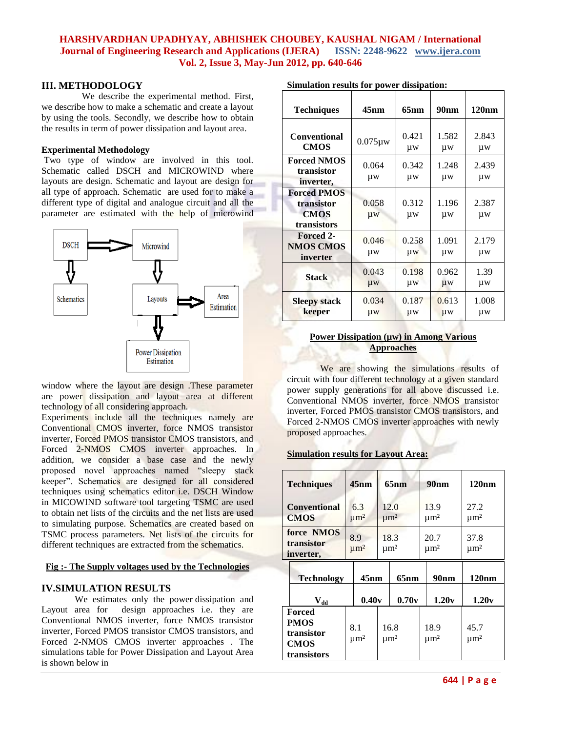#### **III. METHODOLOGY**

 We describe the experimental method. First, we describe how to make a schematic and create a layout by using the tools. Secondly, we describe how to obtain the results in term of power dissipation and layout area.

#### **Experimental Methodology**

Two type of window are involved in this tool. Schematic called DSCH and MICROWIND where layouts are design. Schematic and layout are design for all type of approach. Schematic are used for to make a different type of digital and analogue circuit and all the parameter are estimated with the help of microwind



window where the layout are design .These parameter are power dissipation and layout area at different technology of all considering approach.

Experiments include all the techniques namely are Conventional CMOS inverter, force NMOS transistor inverter, Forced PMOS transistor CMOS transistors, and Forced 2-NMOS CMOS inverter approaches. In addition, we consider a base case and the newly proposed novel approaches named "sleepy stack keeper". Schematics are designed for all considered techniques using schematics editor i.e. DSCH Window in MICOWIND software tool targeting TSMC are used to obtain net lists of the circuits and the net lists are used to simulating purpose. Schematics are created based on TSMC process parameters. Net lists of the circuits for different techniques are extracted from the schematics.

#### **Fig :- The Supply voltages used by the Technologies**

#### **IV.SIMULATION RESULTS**

We estimates only the power dissipation and Layout area for design approaches i.e. they are Conventional NMOS inverter, force NMOS transistor inverter, Forced PMOS transistor CMOS transistors, and Forced 2-NMOS CMOS inverter approaches . The simulations table for Power Dissipation and Layout Area is shown below in

| <b>Techniques</b>                                              | 45nm             | 65nm        | 90 <sub>nm</sub> | 120nm       |
|----------------------------------------------------------------|------------------|-------------|------------------|-------------|
| <b>Conventional</b><br><b>CMOS</b>                             | $0.075 \mu w$    | 0.421<br>μw | 1.582<br>μw      | 2.843<br>μw |
| <b>Forced NMOS</b><br>transistor<br>inverter,                  | 0.064<br>μw      | 0.342<br>μw | 1.248<br>μw      | 2.439<br>μw |
| <b>Forced PMOS</b><br>transistor<br><b>CMOS</b><br>transistors | 0.058<br>μw      | 0.312<br>μw | 1.196<br>μw      | 2.387<br>μw |
| Forced 2-<br><b>NMOS CMOS</b><br>inverter                      | 0.046<br>μw      | 0.258<br>μw | 1.091<br>μw      | 2.179<br>μw |
| <b>Stack</b>                                                   | 0.043<br>$\mu$ w | 0.198<br>μw | 0.962<br>μw      | 1.39<br>μw  |
| <b>Sleepy stack</b><br>keeper                                  | 0.034<br>μw      | 0.187<br>μw | 0.613<br>μw      | 1.008<br>μw |

#### **Simulation results for power dissipation:**

#### **Power Dissipation (µw) in Among Various Approaches**

We are showing the simulations results of circuit with four different technology at a given standard power supply generations for all above discussed i.e. Conventional NMOS inverter, force NMOS transistor inverter, Forced PMOS transistor CMOS transistors, and Forced 2-NMOS CMOS inverter approaches with newly proposed approaches.

#### **Simulation results for Layout Area:**

| <b>Techniques</b>                                                 |         | $45$ nm                                                     | 65nm                         |                              | 90nm |                              | 120nm                        |
|-------------------------------------------------------------------|---------|-------------------------------------------------------------|------------------------------|------------------------------|------|------------------------------|------------------------------|
| <b>Conventional</b><br><b>CMOS</b>                                |         | 12.0<br>6.3<br>$\mu$ m <sup>2</sup><br>$\mu$ m <sup>2</sup> |                              | 13.9<br>$\mu$ m <sup>2</sup> |      | 27.2<br>$\mu$ m <sup>2</sup> |                              |
| force NMOS<br>transistor<br>inverter,                             |         | 8.9<br>$\mu$ m <sup>2</sup>                                 | 18.3<br>$\mu$ m <sup>2</sup> |                              |      | 20.7<br>$\mu$ m <sup>2</sup> | 37.8<br>$\mu$ m <sup>2</sup> |
| <b>Technology</b>                                                 | $45$ nm |                                                             | 65nm                         |                              |      | 90 <sub>nm</sub>             | 120nm                        |
| $\mathbf{V}_{\mathbf{dd}}$                                        |         | 0.40v                                                       |                              | 0.70v                        |      | 1.20v                        | 1.20v                        |
| Forced<br><b>PMOS</b><br>transistor<br><b>CMOS</b><br>transistors |         | 8.1<br>$\mu$ m <sup>2</sup>                                 |                              | 16.8<br>$\mu$ m <sup>2</sup> |      | 18.9<br>$\mu$ m <sup>2</sup> | 45.7<br>$\mu$ m <sup>2</sup> |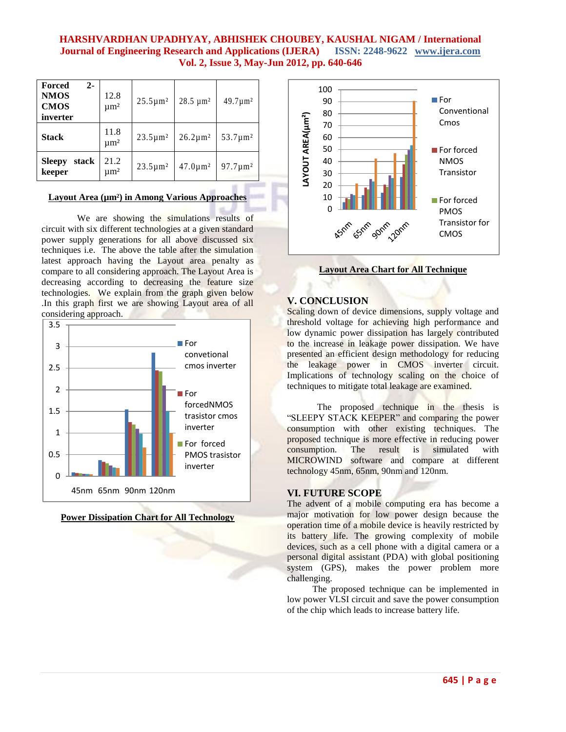| Forced<br>$2 -$<br><b>NMOS</b><br><b>CMOS</b><br>inverter | 12.8<br>$\mu$ m <sup>2</sup> | $25.5 \,\mathrm{\upmu m^2}$ | $28.5 \ \mu m^2$ | $49.7 \mu m^2$ |
|-----------------------------------------------------------|------------------------------|-----------------------------|------------------|----------------|
| <b>Stack</b>                                              | 11.8<br>$\mu$ m <sup>2</sup> | $23.5 \mu m^2$              | $26.2 \mu m^2$   | $53.7 \mu m^2$ |
| stack<br><b>Sleepy</b><br>keeper                          | 21.2<br>$\mu$ m <sup>2</sup> | $23.5 \mu m^2$              | $47.0 \mu m^2$   | $97.7 \mu m^2$ |

#### **Layout Area (µm²) in Among Various Approaches**

We are showing the simulations results of circuit with six different technologies at a given standard power supply generations for all above discussed six techniques i.e. The above the table after the simulation latest approach having the Layout area penalty as compare to all considering approach. The Layout Area is decreasing according to decreasing the feature size technologies. We explain from the graph given below .In this graph first we are showing Layout area of all considering approach.







**Layout Area Chart for All Technique**

## **V. CONCLUSION**

Scaling down of device dimensions, supply voltage and threshold voltage for achieving high performance and low dynamic power dissipation has largely contributed to the increase in leakage power dissipation. We have presented an efficient design methodology for reducing the leakage power in CMOS inverter circuit. Implications of technology scaling on the choice of techniques to mitigate total leakage are examined.

 The proposed technique in the thesis is "SLEEPY STACK KEEPER" and comparing the power consumption with other existing techniques. The proposed technique is more effective in reducing power consumption. The result is simulated with MICROWIND software and compare at different technology 45nm, 65nm, 90nm and 120nm.

## **VI. FUTURE SCOPE**

The advent of a mobile computing era has become a major motivation for low power design because the operation time of a mobile device is heavily restricted by its battery life. The growing complexity of mobile devices, such as a cell phone with a digital camera or a personal digital assistant (PDA) with global positioning system (GPS), makes the power problem more challenging.

 The proposed technique can be implemented in low power VLSI circuit and save the power consumption of the chip which leads to increase battery life.